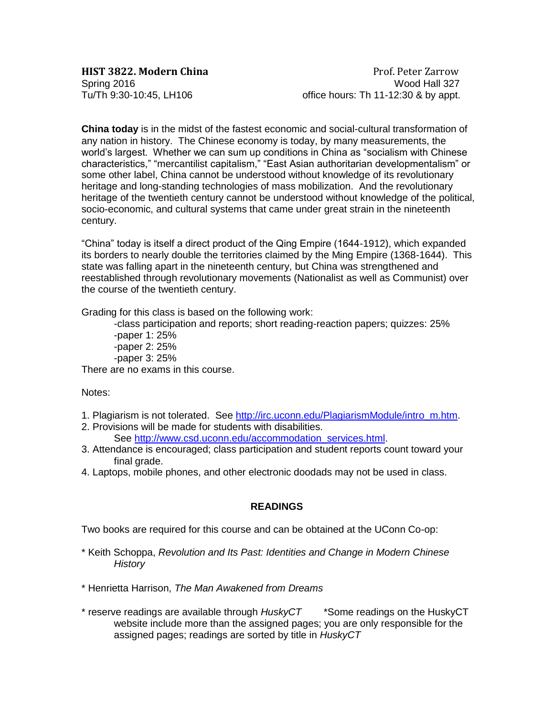**HIST 3822. Modern China Prof. Peter Zarrow** Spring 2016<br>Tu/Th 9:30-10:45, LH106 compared to the office hours: Th 11-12:30 & by appt. office hours: Th  $11-12:30$  & by appt.

**China today** is in the midst of the fastest economic and social-cultural transformation of any nation in history. The Chinese economy is today, by many measurements, the world's largest. Whether we can sum up conditions in China as "socialism with Chinese characteristics," "mercantilist capitalism," "East Asian authoritarian developmentalism" or some other label, China cannot be understood without knowledge of its revolutionary heritage and long-standing technologies of mass mobilization. And the revolutionary heritage of the twentieth century cannot be understood without knowledge of the political, socio-economic, and cultural systems that came under great strain in the nineteenth century.

"China" today is itself a direct product of the Qing Empire (1644-1912), which expanded its borders to nearly double the territories claimed by the Ming Empire (1368-1644). This state was falling apart in the nineteenth century, but China was strengthened and reestablished through revolutionary movements (Nationalist as well as Communist) over the course of the twentieth century.

Grading for this class is based on the following work:

-class participation and reports; short reading-reaction papers; quizzes: 25% -paper 1: 25% -paper 2: 25% -paper 3: 25%

There are no exams in this course.

Notes:

- 1. Plagiarism is not tolerated. See [http://irc.uconn.edu/PlagiarismModule/intro\\_m.htm.](http://irc.uconn.edu/PlagiarismModule/intro_m.htm)
- 2. Provisions will be made for students with disabilities.

See [http://www.csd.uconn.edu/accommodation\\_services.html.](http://www.csd.uconn.edu/accommodation_services.html)

- 3. Attendance is encouraged; class participation and student reports count toward your final grade.
- 4. Laptops, mobile phones, and other electronic doodads may not be used in class.

### **READINGS**

Two books are required for this course and can be obtained at the UConn Co-op:

- \* Keith Schoppa, *Revolution and Its Past: Identities and Change in Modern Chinese History*
- \* Henrietta Harrison, *The Man Awakened from Dreams*
- \* reserve readings are available through *HuskyCT* \*Some readings on the HuskyCT website include more than the assigned pages; you are only responsible for the assigned pages; readings are sorted by title in *HuskyCT*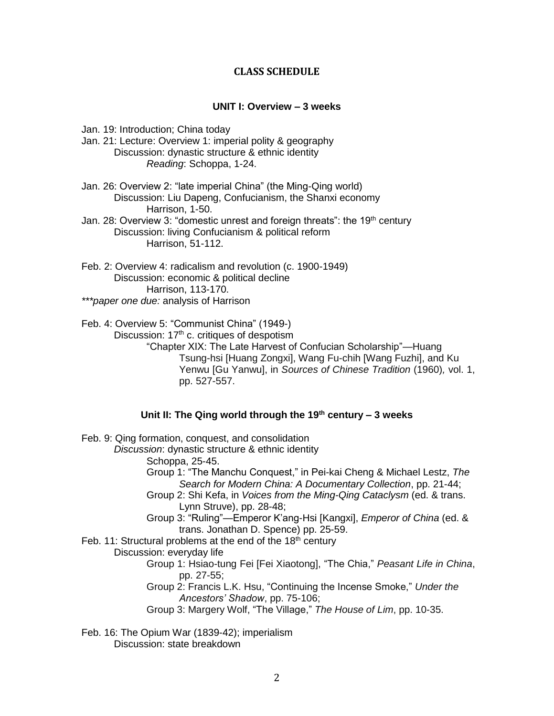## **CLASS SCHEDULE**

# **UNIT I: Overview – 3 weeks**

Jan. 19: Introduction; China today

- Jan. 21: Lecture: Overview 1: imperial polity & geography Discussion: dynastic structure & ethnic identity *Reading*: Schoppa, 1-24.
- Jan. 26: Overview 2: "late imperial China" (the Ming-Qing world) Discussion: Liu Dapeng, Confucianism, the Shanxi economy Harrison, 1-50.

Jan. 28: Overview 3: "domestic unrest and foreign threats": the 19<sup>th</sup> century Discussion: living Confucianism & political reform Harrison, 51-112.

Feb. 2: Overview 4: radicalism and revolution (c. 1900-1949) Discussion: economic & political decline Harrison, 113-170. *\*\*\*paper one due:* analysis of Harrison

Feb. 4: Overview 5: "Communist China" (1949-) Discussion:  $17<sup>th</sup>$  c. critiques of despotism "Chapter XIX: The Late Harvest of Confucian Scholarship"—Huang Tsung-hsi [Huang Zongxi], Wang Fu-chih [Wang Fuzhi], and Ku Yenwu [Gu Yanwu], in *Sources of Chinese Tradition* (1960)*,* vol. 1, pp. 527-557.

## **Unit II: The Qing world through the 19th century – 3 weeks**

Feb. 9: Qing formation, conquest, and consolidation

*Discussion*: dynastic structure & ethnic identity

Schoppa, 25-45.

Group 1: "The Manchu Conquest," in Pei-kai Cheng & Michael Lestz, *The Search for Modern China: A Documentary Collection*, pp. 21-44;

- Group 2: Shi Kefa, in *Voices from the Ming-Qing Cataclysm* (ed. & trans. Lynn Struve), pp. 28-48;
- Group 3: "Ruling"—Emperor K'ang-Hsi [Kangxi], *Emperor of China* (ed. & trans. Jonathan D. Spence) pp. 25-59.

Feb. 11: Structural problems at the end of the  $18<sup>th</sup>$  century

Discussion: everyday life

- Group 1: Hsiao-tung Fei [Fei Xiaotong], "The Chia," *Peasant Life in China*, pp. 27-55;
- Group 2: Francis L.K. Hsu, "Continuing the Incense Smoke," *Under the Ancestors' Shadow*, pp. 75-106;

Group 3: Margery Wolf, "The Village," *The House of Lim*, pp. 10-35.

Feb. 16: The Opium War (1839-42); imperialism Discussion: state breakdown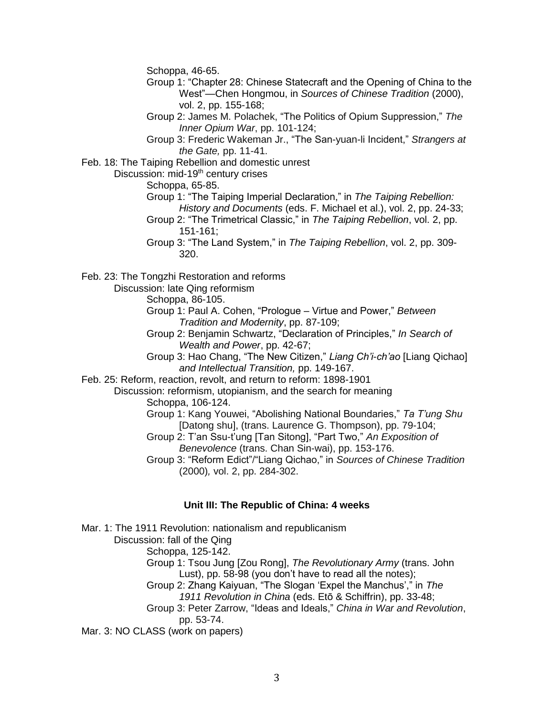Schoppa, 46-65.

- Group 1: "Chapter 28: Chinese Statecraft and the Opening of China to the West"—Chen Hongmou, in *Sources of Chinese Tradition* (2000), vol. 2, pp. 155-168;
- Group 2: James M. Polachek, "The Politics of Opium Suppression," *The Inner Opium War*, pp. 101-124;
- Group 3: Frederic Wakeman Jr., "The San-yuan-li Incident," *Strangers at the Gate,* pp. 11-41.

Feb. 18: The Taiping Rebellion and domestic unrest

Discussion: mid-19<sup>th</sup> century crises

Schoppa, 65-85.

- Group 1: "The Taiping Imperial Declaration," in *The Taiping Rebellion: History and Documents* (eds. F. Michael et al.), vol. 2, pp. 24-33;
- Group 2: "The Trimetrical Classic," in *The Taiping Rebellion*, vol. 2, pp. 151-161;
- Group 3: "The Land System," in *The Taiping Rebellion*, vol. 2, pp. 309- 320.

Feb. 23: The Tongzhi Restoration and reforms

Discussion: late Qing reformism

Schoppa, 86-105.

- Group 1: Paul A. Cohen, "Prologue Virtue and Power," *Between Tradition and Modernity*, pp. 87-109;
- Group 2: Benjamin Schwartz, "Declaration of Principles," *In Search of Wealth and Power*, pp. 42-67;

Group 3: Hao Chang, "The New Citizen," *Liang Ch'i-ch'ao* [Liang Qichao] *and Intellectual Transition,* pp. 149-167.

Feb. 25: Reform, reaction, revolt, and return to reform: 1898-1901

Discussion: reformism, utopianism, and the search for meaning Schoppa, 106-124.

Group 1: Kang Youwei, "Abolishing National Boundaries," *Ta T'ung Shu*  [Datong shu], (trans. Laurence G. Thompson), pp. 79-104;

Group 2: T'an Ssu-t'ung [Tan Sitong], "Part Two," *An Exposition of Benevolence* (trans. Chan Sin-wai), pp. 153-176.

Group 3: "Reform Edict"/"Liang Qichao," in *Sources of Chinese Tradition*  (2000)*,* vol. 2, pp. 284-302.

### **Unit III: The Republic of China: 4 weeks**

Mar. 1: The 1911 Revolution: nationalism and republicanism Discussion: fall of the Qing Schoppa, 125-142. Group 1: Tsou Jung [Zou Rong], *The Revolutionary Army* (trans. John Lust), pp. 58-98 (you don't have to read all the notes); Group 2: Zhang Kaiyuan, "The Slogan 'Expel the Manchus'," in *The 1911 Revolution in China* (eds. Etō & Schiffrin), pp. 33-48; Group 3: Peter Zarrow, "Ideas and Ideals," *China in War and Revolution*, pp. 53-74. Mar. 3: NO CLASS (work on papers)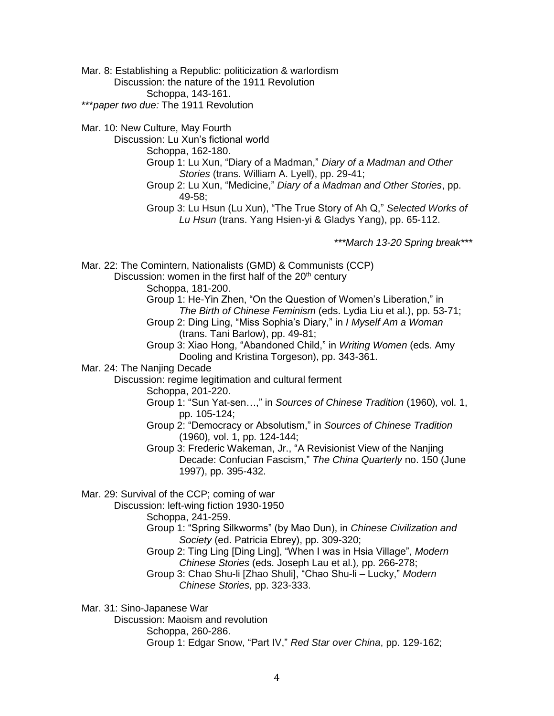Mar. 8: Establishing a Republic: politicization & warlordism Discussion: the nature of the 1911 Revolution Schoppa, 143-161. \*\*\**paper two due:* The 1911 Revolution

Mar. 10: New Culture, May Fourth

Discussion: Lu Xun's fictional world

Schoppa, 162-180.

- Group 1: Lu Xun, "Diary of a Madman," *Diary of a Madman and Other Stories* (trans. William A. Lyell), pp. 29-41;
- Group 2: Lu Xun, "Medicine," *Diary of a Madman and Other Stories*, pp. 49-58;
- Group 3: Lu Hsun (Lu Xun), "The True Story of Ah Q," *Selected Works of Lu Hsun* (trans. Yang Hsien-yi & Gladys Yang), pp. 65-112.

*\*\*\*March 13-20 Spring break\*\*\**

Mar. 22: The Comintern, Nationalists (GMD) & Communists (CCP) Discussion: women in the first half of the  $20<sup>th</sup>$  century

Schoppa, 181-200.

Group 1: He-Yin Zhen, "On the Question of Women's Liberation," in *The Birth of Chinese Feminism* (eds. Lydia Liu et al.), pp. 53-71; Group 2: Ding Ling, "Miss Sophia's Diary," in *I Myself Am a Woman*

(trans. Tani Barlow), pp. 49-81;

Group 3: Xiao Hong, "Abandoned Child," in *Writing Women* (eds. Amy Dooling and Kristina Torgeson), pp. 343-361.

Mar. 24: The Nanjing Decade

Discussion: regime legitimation and cultural ferment

Schoppa, 201-220.

- Group 1: "Sun Yat-sen…," in *Sources of Chinese Tradition* (1960)*,* vol. 1, pp. 105-124;
- Group 2: "Democracy or Absolutism," in *Sources of Chinese Tradition*  (1960)*,* vol. 1, pp. 124-144;

Group 3: Frederic Wakeman, Jr., "A Revisionist View of the Nanjing Decade: Confucian Fascism," *The China Quarterly* no. 150 (June 1997), pp. 395-432.

Mar. 29: Survival of the CCP; coming of war

Discussion: left-wing fiction 1930-1950

Schoppa, 241-259.

Group 1: "Spring Silkworms" (by Mao Dun), in *Chinese Civilization and Society* (ed. Patricia Ebrey), pp. 309-320;

Group 2: Ting Ling [Ding Ling], "When I was in Hsia Village", *Modern Chinese Stories* (eds. Joseph Lau et al.)*,* pp. 266-278;

Group 3: Chao Shu-li [Zhao Shuli], "Chao Shu-li – Lucky," *Modern Chinese Stories,* pp. 323-333.

Mar. 31: Sino-Japanese War

Discussion: Maoism and revolution Schoppa, 260-286. Group 1: Edgar Snow, "Part IV," *Red Star over China*, pp. 129-162;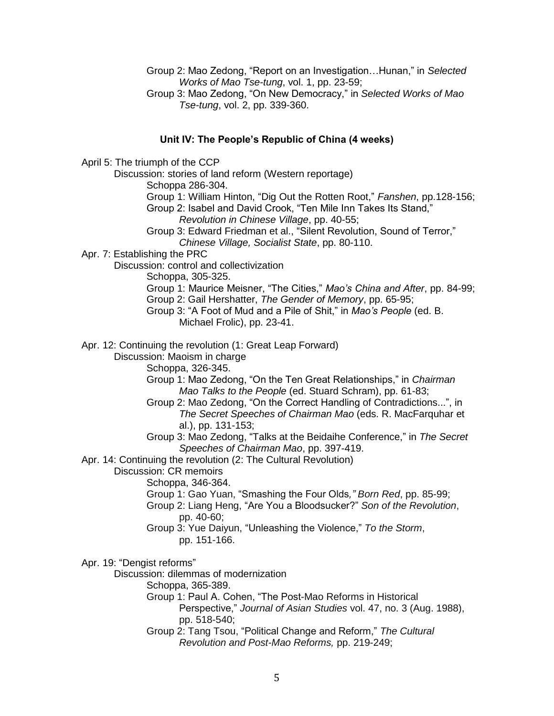Group 2: Mao Zedong, "Report on an Investigation…Hunan," in *Selected Works of Mao Tse-tung*, vol. 1, pp. 23-59;

Group 3: Mao Zedong, "On New Democracy," in *Selected Works of Mao Tse-tung*, vol. 2, pp. 339-360.

### **Unit IV: The People's Republic of China (4 weeks)**

April 5: The triumph of the CCP

Discussion: stories of land reform (Western reportage) Schoppa 286-304. Group 1: William Hinton, "Dig Out the Rotten Root," *Fanshen*, pp.128-156; Group 2: Isabel and David Crook, "Ten Mile Inn Takes Its Stand," *Revolution in Chinese Village*, pp. 40-55; Group 3: Edward Friedman et al., "Silent Revolution, Sound of Terror," *Chinese Village, Socialist State*, pp. 80-110. Apr. 7: Establishing the PRC Discussion: control and collectivization Schoppa, 305-325. Group 1: Maurice Meisner, "The Cities," *Mao's China and After*, pp. 84-99; Group 2: Gail Hershatter, *The Gender of Memory*, pp. 65-95; Group 3: "A Foot of Mud and a Pile of Shit," in *Mao's People* (ed. B. Michael Frolic), pp. 23-41. Apr. 12: Continuing the revolution (1: Great Leap Forward) Discussion: Maoism in charge Schoppa, 326-345. Group 1: Mao Zedong, "On the Ten Great Relationships," in *Chairman Mao Talks to the People* (ed. Stuard Schram), pp. 61-83; Group 2: Mao Zedong, "On the Correct Handling of Contradictions...", in *The Secret Speeches of Chairman Mao* (eds. R. MacFarquhar et al.), pp. 131-153; Group 3: Mao Zedong, "Talks at the Beidaihe Conference," in *The Secret Speeches of Chairman Mao*, pp. 397-419. Apr. 14: Continuing the revolution (2: The Cultural Revolution) Discussion: CR memoirs Schoppa, 346-364. Group 1: Gao Yuan, "Smashing the Four Olds*," Born Red*, pp. 85-99; Group 2: Liang Heng, "Are You a Bloodsucker?" *Son of the Revolution*, pp. 40-60; Group 3: Yue Daiyun, "Unleashing the Violence," *To the Storm*, pp. 151-166. Apr. 19: "Dengist reforms" Discussion: dilemmas of modernization Schoppa, 365-389. Group 1: Paul A. Cohen, "The Post-Mao Reforms in Historical Perspective," *Journal of Asian Studies* vol. 47, no. 3 (Aug. 1988),

- pp. 518-540;
- Group 2: Tang Tsou, "Political Change and Reform," *The Cultural Revolution and Post-Mao Reforms,* pp. 219-249;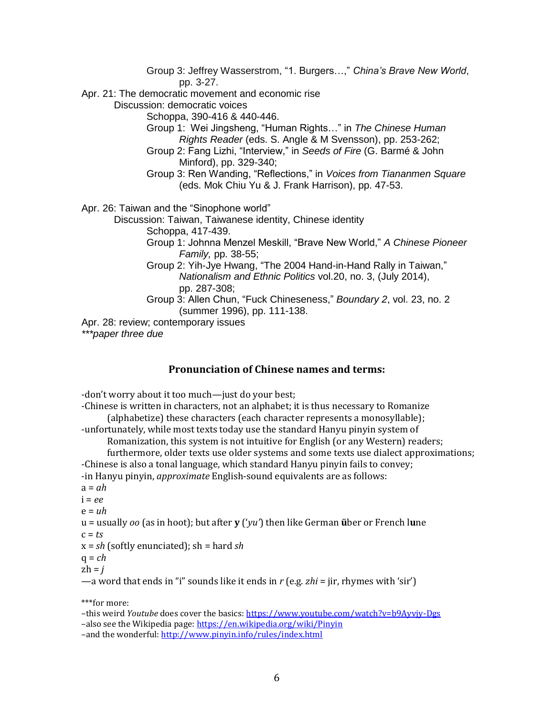Group 3: Jeffrey Wasserstrom, "1. Burgers…," *China's Brave New World*, pp. 3-27. Apr. 21: The democratic movement and economic rise Discussion: democratic voices Schoppa, 390-416 & 440-446. Group 1: Wei Jingsheng, "Human Rights…" in *The Chinese Human Rights Reader* (eds. S. Angle & M Svensson), pp. 253-262; Group 2: Fang Lizhi, "Interview," in *Seeds of Fire* (G. Barmé & John Minford), pp. 329-340; Group 3: Ren Wanding, "Reflections," in *Voices from Tiananmen Square*  (eds. Mok Chiu Yu & J. Frank Harrison), pp. 47-53. Apr. 26: Taiwan and the "Sinophone world" Discussion: Taiwan, Taiwanese identity, Chinese identity Schoppa, 417-439. Group 1: Johnna Menzel Meskill, "Brave New World," *A Chinese Pioneer Family,* pp. 38-55; Group 2: Yih-Jye Hwang, "The 2004 Hand-in-Hand Rally in Taiwan," *Nationalism and Ethnic Politics* vol.20, no. 3, (July 2014), pp. 287-308; Group 3: Allen Chun, "Fuck Chineseness," *Boundary 2*, vol. 23, no. 2 (summer 1996), pp. 111-138. Apr. 28: review; contemporary issues *\*\*\*paper three due* 

# **Pronunciation of Chinese names and terms:**

-don't worry about it too much—just do your best;

-Chinese is written in characters, not an alphabet; it is thus necessary to Romanize (alphabetize) these characters (each character represents a monosyllable);

-unfortunately, while most texts today use the standard Hanyu pinyin system of

Romanization, this system is not intuitive for English (or any Western) readers;

furthermore, older texts use older systems and some texts use dialect approximations; -Chinese is also a tonal language, which standard Hanyu pinyin fails to convey;

-in Hanyu pinyin, *approximate* English-sound equivalents are as follows:

 $a = ah$ 

 $i = \rho \rho$ 

 $e = uh$ 

u = usually *oo* (as in hoot); but after **y** ('*yu'*) then like German **ü**ber or French l**u**ne  $c = ts$ 

$$
x = sh
$$
 (softly enunciated); sh = hard sh

$$
q = ch
$$

 $zh = i$ 

—a word that ends in "i" sounds like it ends in *r* (e.g. *zhi* = jir, rhymes with 'sir')

\*\*\*for more:

–this weird *Youtube* does cover the basics[: https://www.youtube.com/watch?v=b9Ayvjy-Dgs](https://www.youtube.com/watch?v=b9Ayvjy-Dgs) –also see the Wikipedia page[: https://en.wikipedia.org/wiki/Pinyin](https://en.wikipedia.org/wiki/Pinyin) –and the wonderful[: http://www.pinyin.info/rules/index.html](http://www.pinyin.info/rules/index.html)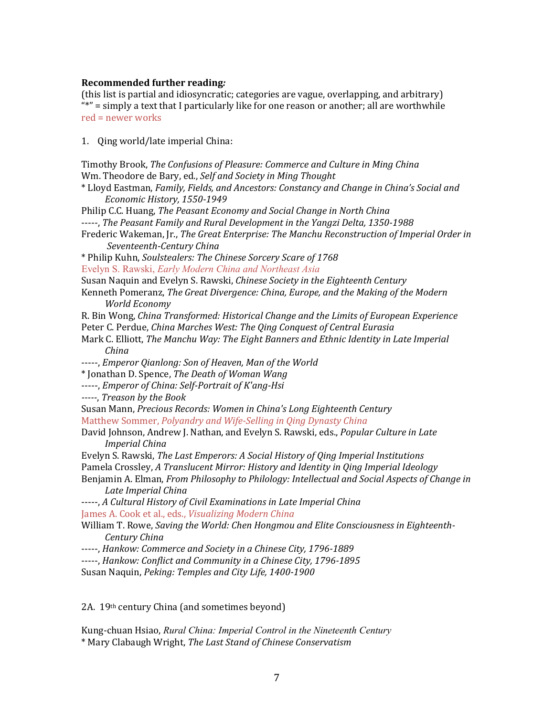### **Recommended further reading***:*

(this list is partial and idiosyncratic; categories are vague, overlapping, and arbitrary) "\*" = simply a text that I particularly like for one reason or another; all are worthwhile red = newer works

1. Qing world/late imperial China:

| Timothy Brook, The Confusions of Pleasure: Commerce and Culture in Ming China                 |
|-----------------------------------------------------------------------------------------------|
| Wm. Theodore de Bary, ed., Self and Society in Ming Thought                                   |
| * Lloyd Eastman, Family, Fields, and Ancestors: Constancy and Change in China's Social and    |
| Economic History, 1550-1949                                                                   |
| Philip C.C. Huang, The Peasant Economy and Social Change in North China                       |
| -----, The Peasant Family and Rural Development in the Yangzi Delta, 1350-1988                |
| Frederic Wakeman, Jr., The Great Enterprise: The Manchu Reconstruction of Imperial Order in   |
| Seventeenth-Century China                                                                     |
| * Philip Kuhn, Soulstealers: The Chinese Sorcery Scare of 1768                                |
| Evelyn S. Rawski, Early Modern China and Northeast Asia                                       |
| Susan Naquin and Evelyn S. Rawski, Chinese Society in the Eighteenth Century                  |
| Kenneth Pomeranz, The Great Divergence: China, Europe, and the Making of the Modern           |
| <b>World Economy</b>                                                                          |
| R. Bin Wong, China Transformed: Historical Change and the Limits of European Experience       |
| Peter C. Perdue, China Marches West: The Qing Conquest of Central Eurasia                     |
| Mark C. Elliott, The Manchu Way: The Eight Banners and Ethnic Identity in Late Imperial       |
| China                                                                                         |
| -----, Emperor Qianlong: Son of Heaven, Man of the World                                      |
| * Jonathan D. Spence, The Death of Woman Wang                                                 |
| -----, Emperor of China: Self-Portrait of K'ang-Hsi                                           |
| -----, Treason by the Book                                                                    |
| Susan Mann, Precious Records: Women in China's Long Eighteenth Century                        |
| Matthew Sommer, Polyandry and Wife-Selling in Qing Dynasty China                              |
| David Johnson, Andrew J. Nathan, and Evelyn S. Rawski, eds., Popular Culture in Late          |
| <b>Imperial China</b>                                                                         |
| Evelyn S. Rawski, The Last Emperors: A Social History of Qing Imperial Institutions           |
| Pamela Crossley, A Translucent Mirror: History and Identity in Qing Imperial Ideology         |
| Benjamin A. Elman, From Philosophy to Philology: Intellectual and Social Aspects of Change in |
| Late Imperial China                                                                           |
| -----, A Cultural History of Civil Examinations in Late Imperial China                        |
| James A. Cook et al., eds., Visualizing Modern China                                          |
| William T. Rowe, Saving the World: Chen Hongmou and Elite Consciousness in Eighteenth-        |
| Century China                                                                                 |
| -----, Hankow: Commerce and Society in a Chinese City, 1796-1889                              |
| -----, Hankow: Conflict and Community in a Chinese City, 1796-1895                            |
| Susan Naquin, Peking: Temples and City Life, 1400-1900                                        |
|                                                                                               |
| 2A. 19th century China (and sometimes beyond)                                                 |
|                                                                                               |

Kung-chuan Hsiao, *Rural China: Imperial Control in the Nineteenth Century* \* Mary Clabaugh Wright, *The Last Stand of Chinese Conservatism*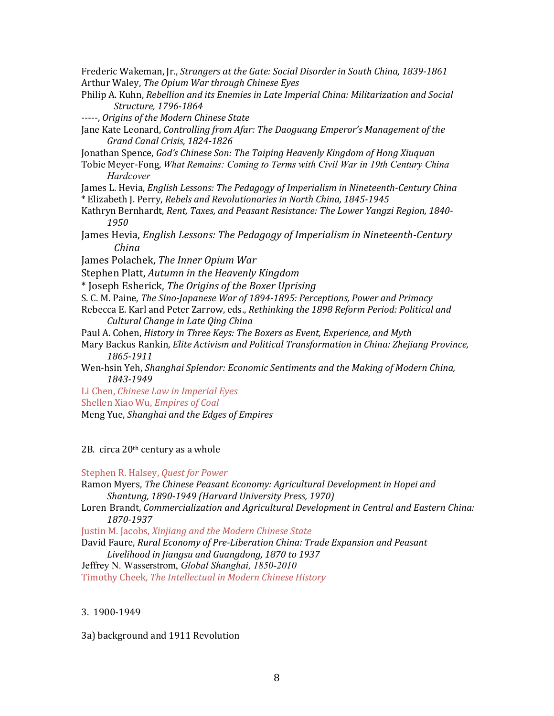Frederic Wakeman, Jr., *Strangers at the Gate: Social Disorder in South China, 1839-1861* Arthur Waley, *The Opium War through Chinese Eyes*

Philip A. Kuhn, *Rebellion and its Enemies in Late Imperial China: Militarization and Social Structure, 1796-1864*

-----, *Origins of the Modern Chinese State*

Jane Kate Leonard, *Controlling from Afar: The Daoguang Emperor's Management of the Grand Canal Crisis, 1824-1826*

Jonathan Spence, *God's Chinese Son: The Taiping Heavenly Kingdom of Hong Xiuquan*

Tobie Meyer-Fong, *What Remains: Coming to Terms with Civil War in 19th Century China Hardcover* 

James L. Hevia, *English Lessons: The Pedagogy of Imperialism in Nineteenth-Century China* \* Elizabeth J. Perry, *Rebels and Revolutionaries in North China, 1845-1945*

Kathryn Bernhardt, *Rent, Taxes, and Peasant Resistance: The Lower Yangzi Region, 1840- 1950*

James Hevia, *English Lessons: The Pedagogy of Imperialism in Nineteenth-Century China*

James Polachek, *The Inner Opium War*

Stephen Platt, *Autumn in the Heavenly Kingdom*

\* Joseph Esherick, *The Origins of the Boxer Uprising*

S. C. M. Paine, *The Sino-Japanese War of 1894-1895: Perceptions, Power and Primacy*

Rebecca E. Karl and Peter Zarrow, eds., *Rethinking the 1898 Reform Period: Political and Cultural Change in Late Qing China*

Paul A. Cohen, *History in Three Keys: The Boxers as Event, Experience, and Myth*

Mary Backus Rankin, *Elite Activism and Political Transformation in China: Zhejiang Province, 1865-1911*

Wen-hsin Yeh, *Shanghai Splendor: Economic Sentiments and the Making of Modern China, 1843-1949*

Li Chen, *Chinese Law in Imperial Eyes*

Shellen Xiao Wu, *Empires of Coal*

Meng Yue, *Shanghai and the Edges of Empires*

2B. circa 20th century as a whole

Stephen R. Halsey, *Quest for Power*

Ramon Myers, *The Chinese Peasant Economy: Agricultural Development in Hopei and Shantung, 1890-1949 (Harvard University Press, 1970)*

Loren Brandt, *Commercialization and Agricultural Development in Central and Eastern China: 1870-1937*

Justin M. Jacobs, *Xinjiang and the Modern Chinese State* 

David Faure, *Rural Economy of Pre-Liberation China: Trade Expansion and Peasant* 

*Livelihood in Jiangsu and Guangdong, 1870 to 1937*

Jeffrey N. Wasserstrom, *Global Shanghai, 1850-2010*

Timothy Cheek, *The Intellectual in Modern Chinese History*

### 3. 1900-1949

3a) background and 1911 Revolution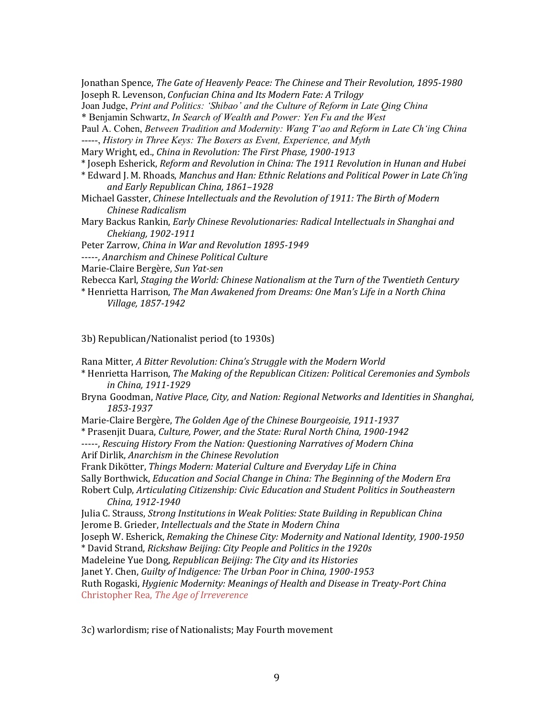Jonathan Spence, *The Gate of Heavenly Peace: The Chinese and Their Revolution, 1895-1980* Joseph R. Levenson, *Confucian China and Its Modern Fate: A Trilogy*

Joan Judge, *Print and Politics: 'Shibao' and the Culture of Reform in Late Qing China*

\* Benjamin Schwartz, *In Search of Wealth and Power: Yen Fu and the West*

Paul A. Cohen, *Between Tradition and Modernity: Wang Tʻao and Reform in Late Chʻing China* -----, *History in Three Keys: The Boxers as Event, Experience, and Myth*

Mary Wright, ed., *China in Revolution: The First Phase, 1900-1913*

\* Joseph Esherick, *Reform and Revolution in China: The 1911 Revolution in Hunan and Hubei*

\* Edward J. M. Rhoads, *Manchus and Han: Ethnic Relations and Political Power in Late Ch'ing and Early Republican China, 1861–1928*

Michael Gasster, *Chinese Intellectuals and the Revolution of 1911: The Birth of Modern Chinese Radicalism*

Mary Backus Rankin, *Early Chinese Revolutionaries: Radical Intellectuals in Shanghai and Chekiang, 1902-1911*

Peter Zarrow, *China in War and Revolution 1895-1949*

-----, *Anarchism and Chinese Political Culture*

Marie-Claire Bergère, *Sun Yat-sen*

Rebecca Karl, *Staging the World: Chinese Nationalism at the Turn of the Twentieth Century*

\* Henrietta Harrison, *The Man Awakened from Dreams: One Man's Life in a North China Village, 1857-1942*

3b) Republican/Nationalist period (to 1930s)

Rana Mitter, *A Bitter Revolution: China's Struggle with the Modern World*

\* Henrietta Harrison, *The Making of the Republican Citizen: Political Ceremonies and Symbols in China, 1911-1929*

Bryna Goodman, *Native Place, City, and Nation: Regional Networks and Identities in Shanghai, 1853-1937* 

Marie-Claire Bergère, *The Golden Age of the Chinese Bourgeoisie, 1911-1937*

\* Prasenjit Duara, *Culture, Power, and the State: Rural North China, 1900-1942* 

-----, *Rescuing History From the Nation: Questioning Narratives of Modern China* Arif Dirlik, *Anarchism in the Chinese Revolution*

Frank Dikötter, *Things Modern: Material Culture and Everyday Life in China*

Sally Borthwick, *Education and Social Change in China: The Beginning of the Modern Era*

Robert Culp, *Articulating Citizenship: Civic Education and Student Politics in Southeastern China, 1912-1940*

Julia C. Strauss, *Strong Institutions in Weak Polities: State Building in Republican China* Jerome B. Grieder, *Intellectuals and the State in Modern China*

Joseph W. Esherick, *Remaking the Chinese City: Modernity and National Identity, 1900-1950*

\* David Strand, *Rickshaw Beijing: City People and Politics in the 1920s* 

Madeleine Yue Dong, *Republican Beijing: The City and its Histories*

Janet Y. Chen, *Guilty of Indigence: The Urban Poor in China, 1900-1953*

Ruth Rogaski, *Hygienic Modernity: Meanings of Health and Disease in Treaty-Port China* Christopher Rea, *The Age of Irreverence*

3c) warlordism; rise of Nationalists; May Fourth movement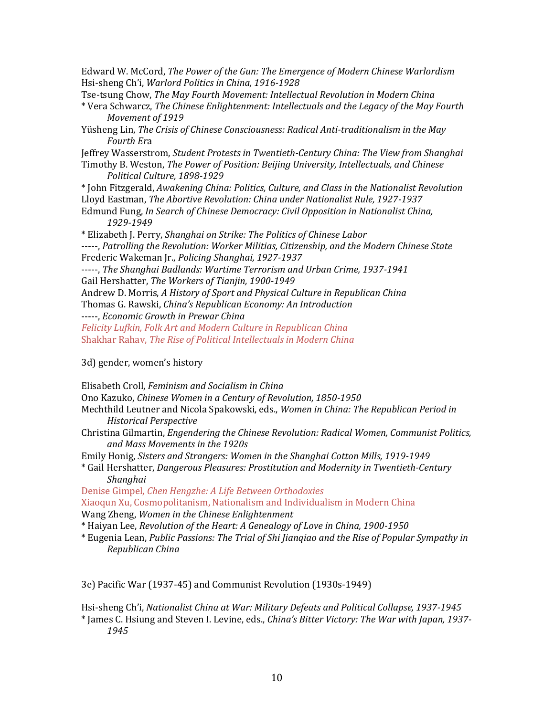Edward W. McCord, *The Power of the Gun: The Emergence of Modern Chinese Warlordism* Hsi-sheng Ch'i, *Warlord Politics in China, 1916-1928*

Tse-tsung Chow, *The May Fourth Movement: Intellectual Revolution in Modern China* 

- \* Vera Schwarcz, *The Chinese Enlightenment: Intellectuals and the Legacy of the May Fourth Movement of 1919*
- Yüsheng Lin, *The Crisis of Chinese Consciousness: Radical Anti-traditionalism in the May Fourth Er*a

Jeffrey Wasserstrom, *Student Protests in Twentieth-Century China: The View from Shanghai* Timothy B. Weston, *The Power of Position: Beijing University, Intellectuals, and Chinese*

*Political Culture, 1898-1929*

\* John Fitzgerald, *Awakening China: Politics, Culture, and Class in the Nationalist Revolution* Lloyd Eastman, *The Abortive Revolution: China under Nationalist Rule, 1927-1937*

\* Elizabeth J. Perry, *Shanghai on Strike: The Politics of Chinese Labor* -----, *Patrolling the Revolution: Worker Militias, Citizenship, and the Modern Chinese State*

```
Frederic Wakeman Jr., Policing Shanghai, 1927-1937
```
-----, *The Shanghai Badlands: Wartime Terrorism and Urban Crime, 1937-1941* Gail Hershatter, *The Workers of Tianjin, 1900-1949*

Andrew D. Morris, *A History of Sport and Physical Culture in Republican China*

Thomas G. Rawski, *China's Republican Economy: An Introduction*

-----, *Economic Growth in Prewar China* 

*Felicity Lufkin, Folk Art and Modern Culture in Republican China* Shakhar Rahav, *The Rise of Political Intellectuals in Modern China*

3d) gender, women's history

Elisabeth Croll, *Feminism and Socialism in China* 

Ono Kazuko, *Chinese Women in a Century of Revolution, 1850-1950*

| Mechthild Leutner and Nicola Spakowski, eds., Women in China: The Republican Period in |  |
|----------------------------------------------------------------------------------------|--|
| Historical Perspective                                                                 |  |

Christina Gilmartin, *Engendering the Chinese Revolution: Radical Women, Communist Politics, and Mass Movements in the 1920s* 

Emily Honig, *Sisters and Strangers: Women in the Shanghai Cotton Mills, 1919-1949*

\* Gail Hershatter, *Dangerous Pleasures: Prostitution and Modernity in Twentieth-Century Shanghai*

Denise Gimpel, *Chen Hengzhe: A Life Between Orthodoxies*

Xiaoqun Xu, Cosmopolitanism, Nationalism and Individualism in Modern China Wang Zheng, *Women in the Chinese Enlightenment* 

\* Haiyan Lee, *Revolution of the Heart: A Genealogy of Love in China, 1900-1950* 

\* Eugenia Lean, *Public Passions: The Trial of Shi Jianqiao and the Rise of Popular Sympathy in Republican China*

3e) Pacific War (1937-45) and Communist Revolution (1930s-1949)

Hsi-sheng Ch'i, *Nationalist China at War: Military Defeats and Political Collapse, 1937-1945* \* James C. Hsiung and Steven I. Levine, eds., *China's Bitter Victory: The War with Japan, 1937- 1945*

Edmund Fung, *In Search of Chinese Democracy: Civil Opposition in Nationalist China, 1929-1949*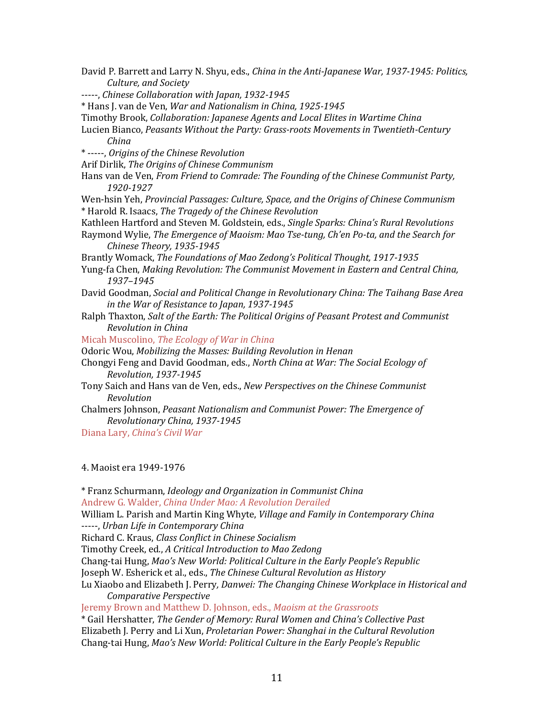David P. Barrett and Larry N. Shyu, eds., *China in the Anti-Japanese War, 1937-1945: Politics, Culture, and Society*

-----, *Chinese Collaboration with Japan, 1932-1945*

\* Hans J. van de Ven, *War and Nationalism in China, 1925-1945*

Timothy Brook, *Collaboration: Japanese Agents and Local Elites in Wartime China*

Lucien Bianco, *Peasants Without the Party: Grass-roots Movements in Twentieth-Century China*

\* -----, *Origins of the Chinese Revolution*

Arif Dirlik, *The Origins of Chinese Communism*

Hans van de Ven, *From Friend to Comrade: The Founding of the Chinese Communist Party, 1920-1927*

Wen-hsin Yeh, *Provincial Passages: Culture, Space, and the Origins of Chinese Communism* \* Harold R. Isaacs, *The Tragedy of the Chinese Revolution*

Kathleen Hartford and Steven M. Goldstein, eds., *Single Sparks: China's Rural Revolutions*

Raymond Wylie, *The Emergence of Maoism: Mao Tse-tung, Ch'en Po-ta, and the Search for Chinese Theory, 1935-1945*

Brantly Womack, *The Foundations of Mao Zedong's Political Thought, 1917-1935*

Yung-fa Chen, *Making Revolution: The Communist Movement in Eastern and Central China, 1937–1945*

David Goodman, *Social and Political Change in Revolutionary China: The Taihang Base Area in the War of Resistance to Japan, 1937-1945*

Ralph Thaxton, *Salt of the Earth: The Political Origins of Peasant Protest and Communist Revolution in China*

Micah Muscolino, *The Ecology of War in China*

Odoric Wou, *Mobilizing the Masses: Building Revolution in Henan*

Chongyi Feng and David Goodman, eds., *North China at War: The Social Ecology of Revolution, 1937-1945*

Tony Saich and Hans van de Ven, eds., *New Perspectives on the Chinese Communist Revolution*

Chalmers Johnson, *Peasant Nationalism and Communist Power: The Emergence of Revolutionary China, 1937-1945*

Diana Lary, *China's Civil War*

4. Maoist era 1949-1976

\* Franz Schurmann, *Ideology and Organization in Communist China* Andrew G. Walder, *China Under Mao: A Revolution Derailed*

William L. Parish and Martin King Whyte, *Village and Family in Contemporary China* 

-----, *Urban Life in Contemporary China* 

Richard C. Kraus, *Class Conflict in Chinese Socialism*

Timothy Creek, ed., *A Critical Introduction to Mao Zedong*

Chang-tai Hung, *Mao's New World: Political Culture in the Early People's Republic*

Joseph W. Esherick et al., eds., *The Chinese Cultural Revolution as History*

Lu Xiaobo and Elizabeth J. Perry*, Danwei: The Changing Chinese Workplace in Historical and Comparative Perspective* 

Jeremy Brown and Matthew D. Johnson, eds., *Maoism at the Grassroots*

\* Gail Hershatter, *The Gender of Memory: Rural Women and China's Collective Past* Elizabeth J. Perry and Li Xun, *Proletarian Power: Shanghai in the Cultural Revolution* Chang-tai Hung, *Mao's New World: Political Culture in the Early People's Republic*